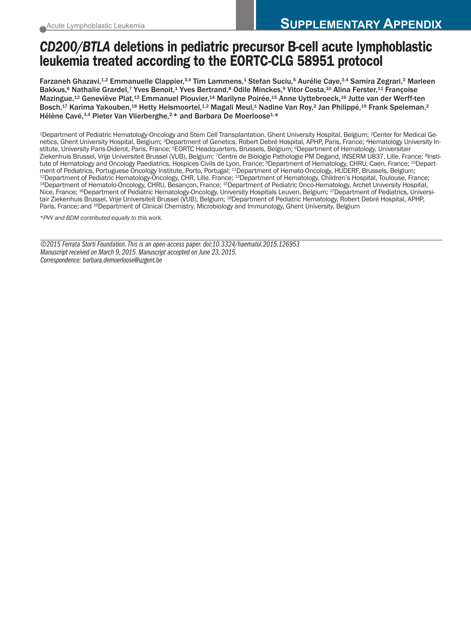# *CD200/BTLA* **deletions in pediatric precursor B-cell acute lymphoblastic leukemia treated according to the EORTC-CLG 58951 protocol**

Farzaneh Ghazavi,<sup>1,2</sup> Emmanuelle Clappier,<sup>3,4</sup> Tim Lammens,<sup>1</sup> Stefan Suciu,<sup>5</sup> Aurélie Caye,<sup>3,4</sup> Samira Zegrari,<sup>3</sup> Marleen Bakkus,<sup>6</sup> Nathalie Grardel,<sup>7</sup> Yves Benoit,<sup>1</sup> Yves Bertrand,<sup>8</sup> Odile Minckes,<sup>9</sup> Vitor Costa,<sup>10</sup> Alina Ferster,<sup>11</sup> Françoise Mazingue,12 Geneviève Plat,13 Emmanuel Plouvier,14 Marilyne Poirée,15 Anne Uyttebroeck,16 Jutte van der Werff-ten Bosch,<sup>17</sup> Karima Yakouben,<sup>18</sup> Hetty Helsmoortel,<sup>1,2</sup> Magali Meul,<sup>1</sup> Nadine Van Roy,<sup>2</sup> Jan Philippé,<sup>19</sup> Frank Speleman,<sup>2</sup> Hélène Cavé,<sup>3,4</sup> Pieter Van Vlierberghe,<sup>2,\*</sup> and Barbara De Moerloose<sup>1,\*</sup>

1Department of Pediatric Hematology-Oncology and Stem Cell Transplantation, Ghent University Hospital, Belgium; 2Center for Medical Genetics, Ghent University Hospital, Belgium; 3Department of Genetics, Robert Debré Hospital, APHP, Paris, France; 4Hematology University Institute, University Paris-Diderot, Paris, France; <sup>5</sup>EORTC Headquarters, Brussels, Belgium; <sup>6</sup>Department of Hematology, Universitair Ziekenhuis Brussel, Vrije Universiteit Brussel (VUB), Belgium; 7Centre de Biologie Pathologie PM Degand, INSERM U837, Lille, France; 8Institute of Hematology and Oncology Paediatrics, Hospices Civils de Lyon, France; <sup>9</sup>Department of Hematology, CHRU, Caen, France; <sup>10</sup>Depart-<br>ment of Pediatrics, Portuguese Oncology Institute, Porto, Portugal; <sup>11</sup>Department <sup>12</sup>Department of Pediatric Hematology-Oncology, CHR, Lille, France; <sup>13</sup>Department of Hematology, Children's Hospital, Toulouse, France; 13<br><sup>14</sup>Department of Hematolo-Oncology, CHRU, Besançon, France; <sup>15</sup>Department of Pe Nice, France; 16Department of Pediatric Hematology-Oncology, University Hospitals Leuven, Belgium; 17Department of Pediatrics, Universitair Ziekenhuis Brussel, Vrije Universiteit Brussel (VUB), Belgium; 18Department of Pediatric Hematology, Robert Debré Hospital, APHP, Paris, France; and <sup>19</sup>Department of Clinical Chemistry, Microbiology and Immunology, Ghent University, Belgium

*\*PVV and BDM contributed equally to this work.*

*©2015 Ferrata Storti Foundation. This is an open-access paper. doi:10.3324/haematol.2015.126953 Manuscript received on March 9, 2015. Manuscript accepted on June 23, 2015. Correspondence: barbara.demoerloose@uzgent.be*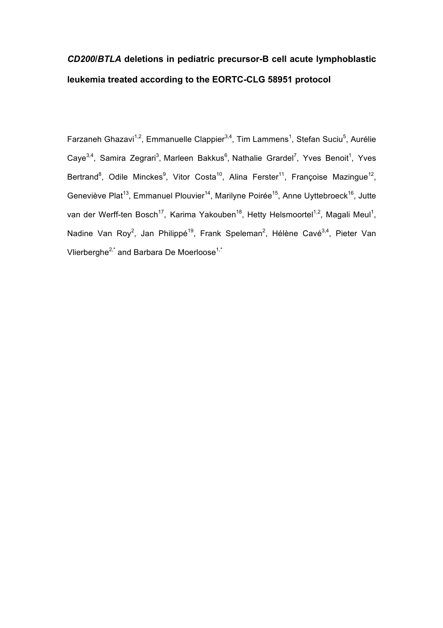# *CD200***/***BTLA* **deletions in pediatric precursor-B cell acute lymphoblastic leukemia treated according to the EORTC-CLG 58951 protocol**

Farzaneh Ghazavi<sup>1,2</sup>, Emmanuelle Clappier<sup>3,4</sup>, Tim Lammens<sup>1</sup>, Stefan Suciu<sup>5</sup>, Aurélie Caye<sup>3,4</sup>, Samira Zegrari<sup>3</sup>, Marleen Bakkus<sup>6</sup>, Nathalie Grardel<sup>7</sup>, Yves Benoit<sup>1</sup>, Yves Bertrand<sup>8</sup>, Odile Minckes<sup>9</sup>, Vitor Costa<sup>10</sup>, Alina Ferster<sup>11</sup>, Françoise Mazingue<sup>12</sup>, Geneviève Plat<sup>13</sup>, Emmanuel Plouvier<sup>14</sup>, Marilyne Poirée<sup>15</sup>, Anne Uyttebroeck<sup>16</sup>, Jutte van der Werff-ten Bosch<sup>17</sup>, Karima Yakouben<sup>18</sup>, Hetty Helsmoortel<sup>1,2</sup>, Magali Meul<sup>1</sup>, Nadine Van Roy<sup>2</sup>, Jan Philippé<sup>19</sup>, Frank Speleman<sup>2</sup>, Hélène Cavé<sup>3,4</sup>, Pieter Van Vlierberghe<sup>2,\*</sup> and Barbara De Moerloose<sup>1,\*</sup>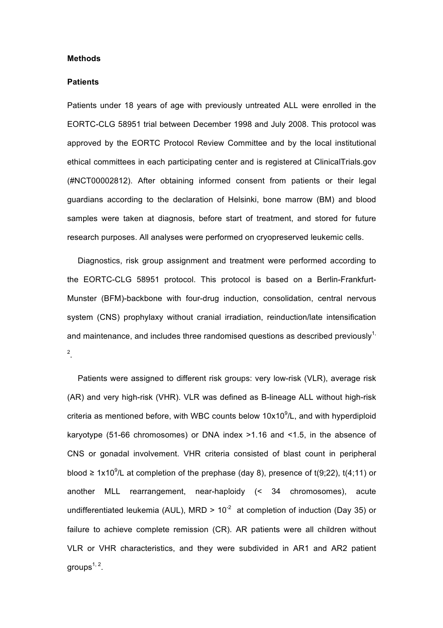#### **Methods**

#### **Patients**

Patients under 18 years of age with previously untreated ALL were enrolled in the EORTC-CLG 58951 trial between December 1998 and July 2008. This protocol was approved by the EORTC Protocol Review Committee and by the local institutional ethical committees in each participating center and is registered at ClinicalTrials.gov (#NCT00002812). After obtaining informed consent from patients or their legal guardians according to the declaration of Helsinki, bone marrow (BM) and blood samples were taken at diagnosis, before start of treatment, and stored for future research purposes. All analyses were performed on cryopreserved leukemic cells.

Diagnostics, risk group assignment and treatment were performed according to the EORTC-CLG 58951 protocol. This protocol is based on a Berlin-Frankfurt-Munster (BFM)-backbone with four-drug induction, consolidation, central nervous system (CNS) prophylaxy without cranial irradiation, reinduction/late intensification and maintenance, and includes three randomised questions as described previously<sup>1,</sup> 2 .

Patients were assigned to different risk groups: very low-risk (VLR), average risk (AR) and very high-risk (VHR). VLR was defined as B-lineage ALL without high-risk criteria as mentioned before, with WBC counts below  $10x10^9$ /L, and with hyperdiploid karyotype (51-66 chromosomes) or DNA index >1.16 and <1.5, in the absence of CNS or gonadal involvement. VHR criteria consisted of blast count in peripheral blood  $\geq 1x10^9$ /L at completion of the prephase (day 8), presence of t(9;22), t(4;11) or another MLL rearrangement, near-haploidy (< 34 chromosomes), acute undifferentiated leukemia (AUL), MRD >  $10^{-2}$  at completion of induction (Day 35) or failure to achieve complete remission (CR). AR patients were all children without VLR or VHR characteristics, and they were subdivided in AR1 and AR2 patient groups $1, 2$ .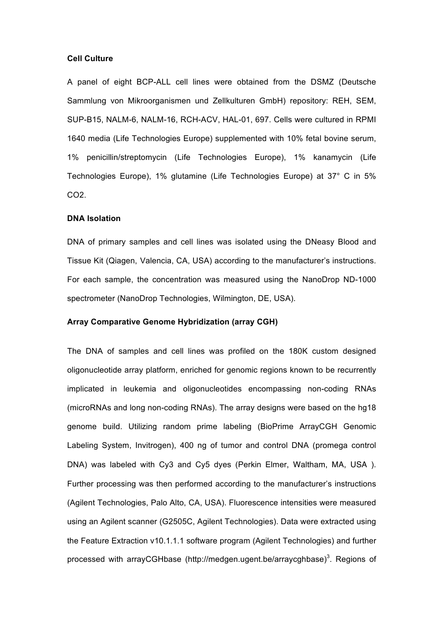#### **Cell Culture**

A panel of eight BCP-ALL cell lines were obtained from the DSMZ (Deutsche Sammlung von Mikroorganismen und Zellkulturen GmbH) repository: REH, SEM, SUP-B15, NALM-6, NALM-16, RCH-ACV, HAL-01, 697. Cells were cultured in RPMI 1640 media (Life Technologies Europe) supplemented with 10% fetal bovine serum, 1% penicillin/streptomycin (Life Technologies Europe), 1% kanamycin (Life Technologies Europe), 1% glutamine (Life Technologies Europe) at 37° C in 5% CO2.

### **DNA Isolation**

DNA of primary samples and cell lines was isolated using the DNeasy Blood and Tissue Kit (Qiagen, Valencia, CA, USA) according to the manufacturer's instructions. For each sample, the concentration was measured using the NanoDrop ND-1000 spectrometer (NanoDrop Technologies, Wilmington, DE, USA).

#### **Array Comparative Genome Hybridization (array CGH)**

The DNA of samples and cell lines was profiled on the 180K custom designed oligonucleotide array platform, enriched for genomic regions known to be recurrently implicated in leukemia and oligonucleotides encompassing non-coding RNAs (microRNAs and long non-coding RNAs). The array designs were based on the hg18 genome build. Utilizing random prime labeling (BioPrime ArrayCGH Genomic Labeling System, Invitrogen), 400 ng of tumor and control DNA (promega control DNA) was labeled with Cy3 and Cy5 dyes (Perkin Elmer, Waltham, MA, USA ). Further processing was then performed according to the manufacturer's instructions (Agilent Technologies, Palo Alto, CA, USA). Fluorescence intensities were measured using an Agilent scanner (G2505C, Agilent Technologies). Data were extracted using the Feature Extraction v10.1.1.1 software program (Agilent Technologies) and further processed with arrayCGHbase (http://medgen.ugent.be/arraycghbase)<sup>3</sup>. Regions of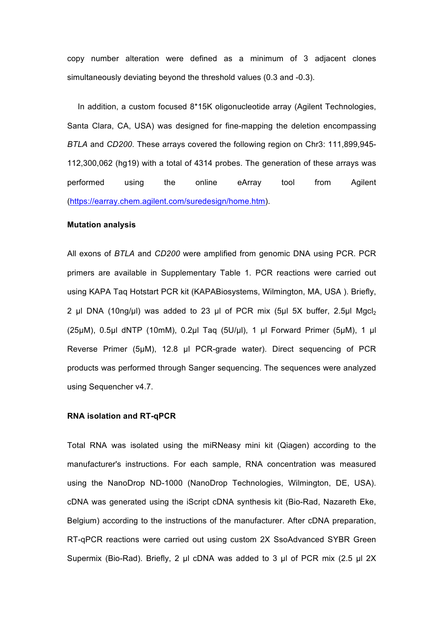copy number alteration were defined as a minimum of 3 adjacent clones simultaneously deviating beyond the threshold values (0.3 and -0.3).

In addition, a custom focused 8\*15K oligonucleotide array (Agilent Technologies, Santa Clara, CA, USA) was designed for fine-mapping the deletion encompassing *BTLA* and *CD200*. These arrays covered the following region on Chr3: 111,899,945- 112,300,062 (hg19) with a total of 4314 probes. The generation of these arrays was performed using the online eArray tool from Agilent (https://earray.chem.agilent.com/suredesign/home.htm).

#### **Mutation analysis**

All exons of *BTLA* and *CD200* were amplified from genomic DNA using PCR. PCR primers are available in Supplementary Table 1. PCR reactions were carried out using KAPA Taq Hotstart PCR kit (KAPABiosystems, Wilmington, MA, USA ). Briefly, 2 µl DNA (10ng/µl) was added to 23 µl of PCR mix (5µl 5X buffer, 2.5µl Mgcl<sub>2</sub> (25µM), 0.5µl dNTP (10mM), 0.2µl Taq (5U/µl), 1 µl Forward Primer (5µM), 1 µl Reverse Primer (5µM), 12.8 µl PCR-grade water). Direct sequencing of PCR products was performed through Sanger sequencing. The sequences were analyzed using Sequencher v4.7.

#### **RNA isolation and RT-qPCR**

Total RNA was isolated using the miRNeasy mini kit (Qiagen) according to the manufacturer's instructions. For each sample, RNA concentration was measured using the NanoDrop ND-1000 (NanoDrop Technologies, Wilmington, DE, USA). cDNA was generated using the iScript cDNA synthesis kit (Bio-Rad, Nazareth Eke, Belgium) according to the instructions of the manufacturer. After cDNA preparation, RT-qPCR reactions were carried out using custom 2X SsoAdvanced SYBR Green Supermix (Bio-Rad). Briefly, 2 µl cDNA was added to 3 µl of PCR mix (2.5 µl 2X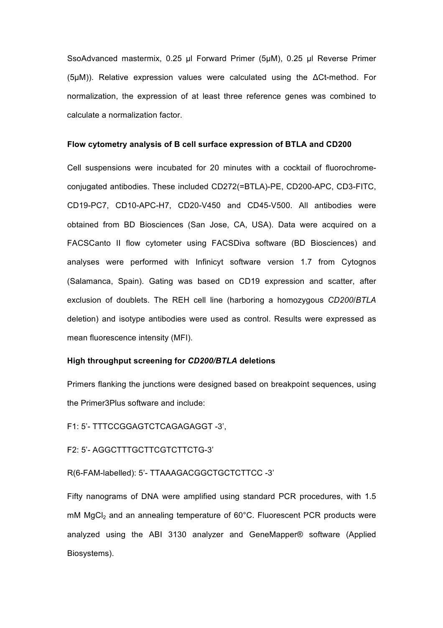SsoAdvanced mastermix, 0.25 µl Forward Primer (5µM), 0.25 µl Reverse Primer (5µM)). Relative expression values were calculated using the ΔCt-method. For normalization, the expression of at least three reference genes was combined to calculate a normalization factor.

#### **Flow cytometry analysis of B cell surface expression of BTLA and CD200**

Cell suspensions were incubated for 20 minutes with a cocktail of fluorochromeconjugated antibodies. These included CD272(=BTLA)-PE, CD200-APC, CD3-FITC, CD19-PC7, CD10-APC-H7, CD20-V450 and CD45-V500. All antibodies were obtained from BD Biosciences (San Jose, CA, USA). Data were acquired on a FACSCanto II flow cytometer using FACSDiva software (BD Biosciences) and analyses were performed with Infinicyt software version 1.7 from Cytognos (Salamanca, Spain). Gating was based on CD19 expression and scatter, after exclusion of doublets. The REH cell line (harboring a homozygous *CD200*/*BTLA* deletion) and isotype antibodies were used as control. Results were expressed as mean fluorescence intensity (MFI).

## **High throughput screening for** *CD200/BTLA* **deletions**

Primers flanking the junctions were designed based on breakpoint sequences, using the Primer3Plus software and include:

F1: 5'- TTTCCGGAGTCTCAGAGAGGT -3',

F2: 5'- AGGCTTTGCTTCGTCTTCTG-3'

R(6-FAM-labelled): 5'- TTAAAGACGGCTGCTCTTCC -3'

Fifty nanograms of DNA were amplified using standard PCR procedures, with 1.5  $m$ M MgCl<sub>2</sub> and an annealing temperature of 60 $^{\circ}$ C. Fluorescent PCR products were analyzed using the ABI 3130 analyzer and GeneMapper® software (Applied Biosystems).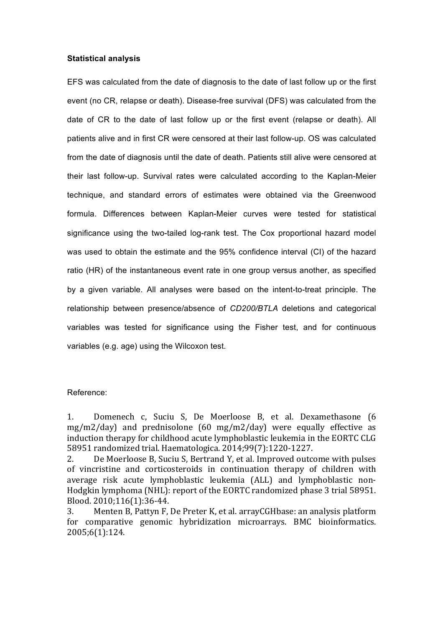#### **Statistical analysis**

EFS was calculated from the date of diagnosis to the date of last follow up or the first event (no CR, relapse or death). Disease-free survival (DFS) was calculated from the date of CR to the date of last follow up or the first event (relapse or death). All patients alive and in first CR were censored at their last follow-up. OS was calculated from the date of diagnosis until the date of death. Patients still alive were censored at their last follow-up. Survival rates were calculated according to the Kaplan-Meier technique, and standard errors of estimates were obtained via the Greenwood formula. Differences between Kaplan-Meier curves were tested for statistical significance using the two-tailed log-rank test. The Cox proportional hazard model was used to obtain the estimate and the 95% confidence interval (CI) of the hazard ratio (HR) of the instantaneous event rate in one group versus another, as specified by a given variable. All analyses were based on the intent-to-treat principle. The relationship between presence/absence of *CD200/BTLA* deletions and categorical variables was tested for significance using the Fisher test, and for continuous variables (e.g. age) using the Wilcoxon test.

#### Reference:

1. Domenech c, Suciu S, De Moerloose B, et al. Dexamethasone (6  $mg/m2/day$  and prednisolone  $(60 mg/m2/day)$  were equally effective as induction therapy for childhood acute lymphoblastic leukemia in the EORTC CLG 58951 randomized trial. Haematologica. 2014;99(7):1220-1227.

2. De Moerloose B, Suciu S, Bertrand Y, et al. Improved outcome with pulses of vincristine and corticosteroids in continuation therapy of children with average risk acute lymphoblastic leukemia (ALL) and lymphoblastic non-Hodgkin lymphoma (NHL): report of the EORTC randomized phase 3 trial 58951. Blood. 2010;116(1):36-44.

3. Menten B, Pattyn F, De Preter K, et al. arrayCGHbase: an analysis platform for comparative genomic hybridization microarrays. BMC bioinformatics. 2005;6(1):124.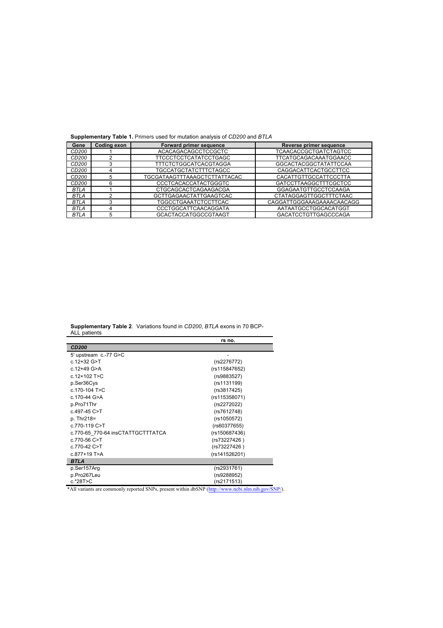**Supplementary Table 1.** Primers used for mutation analysis of *CD200* and *BTLA*

| Gene        | <b>Coding exon</b> | Forward primer sequence       | Reverse primer sequence       |
|-------------|--------------------|-------------------------------|-------------------------------|
| CD200       |                    | ACACAGACAGCCTCCGCTC           | <b>TCAACACCGCTGATCTAGTCC</b>  |
| CD200       |                    | <b>TTCCCTCCTCATATCCTGAGC</b>  | TTCATGCAGACAAATGGAACC         |
| CD200       |                    | <b>TTTCTCTGGCATCACGTAGGA</b>  | <b>GGCACTACGGCTATATTCCAA</b>  |
| CD200       |                    | TGCCATGCTATCTTTCTAGCC         | CAGGACATTCACTGCCTTCC          |
| CD200       | 5                  | TGCGATAAGTTTAAAGCTCTTATTACAC  | CACATTGTTGCCATTCCCTTA         |
| CD200       | ี                  | <b>CCCTCACACCATACTGGGTC</b>   | GATCCTTAAGGCTTTCGCTCC         |
| <b>BTLA</b> |                    | <b>CTGCAGCACTCAGAAGACGA</b>   | <b>GGAGAATGTTGCCTCCAAGA</b>   |
| <b>BTLA</b> | ົ                  | <b>GCTTGAGAACTATTGAAGTCAC</b> | <b>CTATAGGAGTTGGCTTTCTAAC</b> |
| <b>BTLA</b> |                    | TGGCCTGAAATCTCCTTCAC          | CAGGATTGGGAAAGAAAACAACAGG     |
| <b>BTLA</b> |                    | CCCTGGCATTCAACAGGATA          | AATAATGCCTGGCACATGGT          |
| <b>BTLA</b> | 5                  | <b>GCACTACCATGGCCGTAAGT</b>   | <b>GACATCCTGTTGAGCCCAGA</b>   |

**Supplementary Table 2**. Variations found in *CD200*, *BTLA* exons in 70 BCP-ALL patients

|                                                                                                    | rs no.        |
|----------------------------------------------------------------------------------------------------|---------------|
| <b>CD200</b>                                                                                       |               |
| 5' upstream c.-77 G>C                                                                              |               |
| $c.12 + 32$ G $>$ T                                                                                | (rs2276772)   |
| $c.12 + 49$ G $> A$                                                                                | (rs115847652) |
| $c.12+102$ T $\geq$ C.                                                                             | (rs9883527)   |
| p.Ser36Cys                                                                                         | (rs1131199)   |
| $c.170-104$ T $\geq$ C                                                                             | (rs3817425)   |
| c.170-44 G>A                                                                                       | (rs115358071) |
| p.Pro71Thr                                                                                         | (rs2272022)   |
| c.497-45 C>T                                                                                       | (rs7612748)   |
| p. Thr218=                                                                                         | (rs1050572)   |
| c.770-119 C>T                                                                                      | (rs60377655)  |
| c.770-65 770-64 insCTATTGCTTTATCA                                                                  | (rs150687436) |
| c.770-56 C>T                                                                                       | (rs73227426)  |
| c.770-42 C>T                                                                                       | (rs73227426)  |
| $c.877+19$ T>A                                                                                     | (rs141526201) |
| <b>BTLA</b>                                                                                        |               |
| p.Ser157Arg                                                                                        | (rs2931761)   |
| p.Pro267Leu                                                                                        | (rs9288952)   |
| c.*28T>C                                                                                           | (rs2171513)   |
| *All variants are commonly reported SNPs, present within dbSNP (http://www.ncbi.nlm.nih.gov/SNP/). |               |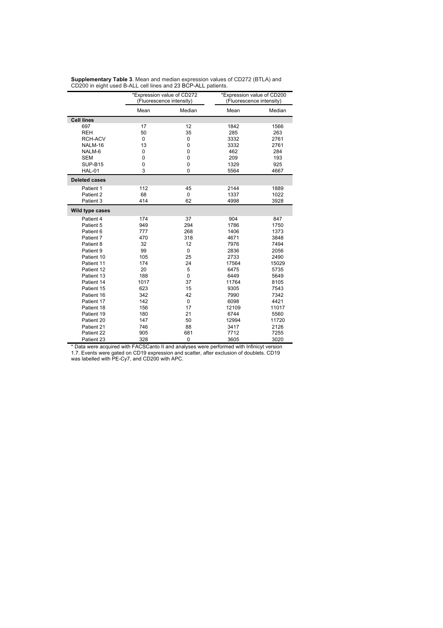|                      | *Expression value of CD272<br>(Fluorescence intensity) |             | *Expression value of CD200<br>(Fluorescence intensity) |        |
|----------------------|--------------------------------------------------------|-------------|--------------------------------------------------------|--------|
|                      | Mean                                                   | Median      | Mean                                                   | Median |
| <b>Cell lines</b>    |                                                        |             |                                                        |        |
| 697                  | 17                                                     | 12          | 1842                                                   | 1566   |
| <b>REH</b>           | 50                                                     | 35          | 285                                                    | 263    |
| RCH-ACV              | 0                                                      | $\mathbf 0$ | 3332                                                   | 2761   |
| NALM-16              | 13                                                     | 0           | 3332                                                   | 2761   |
| NALM-6               | $\mathbf 0$                                            | 0           | 462                                                    | 284    |
| <b>SEM</b>           | $\mathbf 0$                                            | 0           | 209                                                    | 193    |
| SUP-B15              | $\mathbf 0$                                            | 0           | 1329                                                   | 925    |
| <b>HAL-01</b>        | 3                                                      | $\mathbf 0$ | 5564                                                   | 4667   |
| <b>Deleted cases</b> |                                                        |             |                                                        |        |
| Patient 1            | 112                                                    | 45          | 2144                                                   | 1889   |
| Patient 2            | 68                                                     | $\mathbf 0$ | 1337                                                   | 1022   |
| Patient 3            | 414                                                    | 62          | 4998                                                   | 3928   |
| Wild type cases      |                                                        |             |                                                        |        |
| Patient 4            | 174                                                    | 37          | 904                                                    | 847    |
| Patient 5            | 949                                                    | 294         | 1786                                                   | 1750   |
| Patient 6            | 777                                                    | 268         | 1406                                                   | 1373   |
| Patient 7            | 470                                                    | 318         | 4671                                                   | 3848   |
| Patient 8            | 32                                                     | 12          | 7976                                                   | 7494   |
| Patient 9            | 99                                                     | 0           | 2836                                                   | 2056   |
| Patient 10           | 105                                                    | 25          | 2733                                                   | 2490   |
| Patient 11           | 174                                                    | 24          | 17564                                                  | 15029  |
| Patient 12           | 20                                                     | 5           | 6475                                                   | 5735   |
| Patient 13           | 188                                                    | 0           | 6449                                                   | 5649   |
| Patient 14           | 1017                                                   | 37          | 11764                                                  | 8105   |
| Patient 15           | 623                                                    | 15          | 9305                                                   | 7543   |
| Patient 16           | 342                                                    | 42          | 7990                                                   | 7342   |
| Patient 17           | 142                                                    | 0           | 6098                                                   | 4421   |
| Patient 18           | 156                                                    | 17          | 12109                                                  | 11017  |
| Patient 19           | 180                                                    | 21          | 6744                                                   | 5560   |
| Patient 20           | 147                                                    | 50          | 12994                                                  | 11720  |
| Patient 21           | 746                                                    | 88          | 3417                                                   | 2126   |
| Patient 22           | 905                                                    | 681         | 7712                                                   | 7255   |
| Patient 23           | 328                                                    | 0           | 3605                                                   | 3020   |

**Supplementary Table 3**. Mean and median expression values of CD272 (BTLA) and CD200 in eight used B-ALL cell lines and 23 BCP-ALL patients.

\* Data were acquired with FACSCanto II and analyses were performed with Infinicyt version

1.7. Events were gated on CD19 expression and scatter, after exclusion of doublets. CD19 was labelled with PE-Cy7, and CD200 with APC.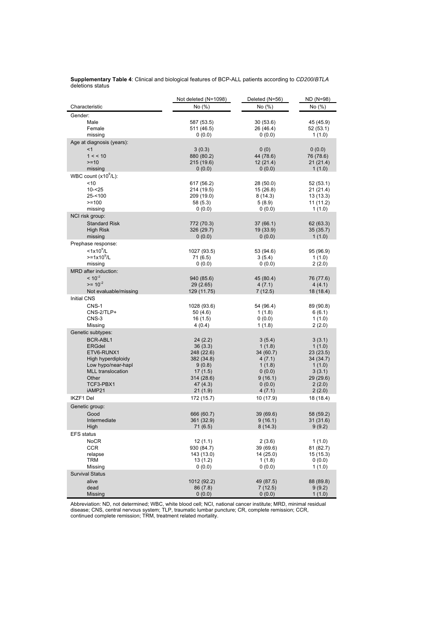| <b>Supplementary Table 4:</b> Clinical and biological features of BCP-ALL patients according to CD200/BTLA |  |  |  |  |
|------------------------------------------------------------------------------------------------------------|--|--|--|--|
| deletions status                                                                                           |  |  |  |  |

|                                                | Not deleted (N=1098)     | Deleted (N=56)         | ND (N=98)              |
|------------------------------------------------|--------------------------|------------------------|------------------------|
| Characteristic                                 | No (%)                   | No (%)                 | No (%)                 |
| Gender:                                        |                          |                        |                        |
| Male                                           | 587 (53.5)               | 30 (53.6)              | 45 (45.9)              |
| Female                                         | 511 (46.5)               | 26 (46.4)              | 52 (53.1)              |
| missing                                        | 0(0.0)                   | 0(0.0)                 | 1(1.0)                 |
| Age at diagnosis (years):<br>< 1               |                          |                        |                        |
| 1 < 10                                         | 3(0.3)<br>880 (80.2)     | 0(0)<br>44 (78.6)      | 0(0.0)<br>76 (78.6)    |
| $>=10$                                         | 215 (19.6)               | 12(21.4)               | 21(21.4)               |
| missing                                        | 0(0.0)                   | 0(0.0)                 | 1(1.0)                 |
| WBC count $(x10^9/L)$ :                        |                          |                        |                        |
| ~10                                            | 617 (56.2)               | 28 (50.0)              | 52 (53.1)              |
| $10 - 25$                                      | 214 (19.5)               | 15 (26.8)              | 21 (21.4)              |
| $25 - 100$                                     | 209 (19.0)               | 8(14.3)                | 13 (13.3)              |
| $>=100$                                        | 58 (5.3)                 | 5(8.9)                 | 11(11.2)               |
| missing                                        | 0(0.0)                   | 0(0.0)                 | 1(1.0)                 |
| NCI risk group:                                |                          |                        |                        |
| <b>Standard Risk</b><br><b>High Risk</b>       | 772 (70.3)<br>326 (29.7) | 37 (66.1)<br>19 (33.9) | 62 (63.3)<br>35 (35.7) |
| missing                                        | 0(0.0)                   | 0(0.0)                 | 1(1.0)                 |
| Prephase response:                             |                          |                        |                        |
| $<$ 1x10 $^{\circ}$ /L                         | 1027 (93.5)              | 53 (94.6)              | 95 (96.9)              |
| $>=1x10^9/L$                                   | 71(6.5)                  | 3(5.4)                 | 1(1.0)                 |
| missing                                        | 0(0.0)                   | 0(0.0)                 | 2(2.0)                 |
| MRD after induction:                           |                          |                        |                        |
| $< 10^{-2}$                                    | 940 (85.6)               | 45 (80.4)              | 76 (77.6)              |
| $>= 10^{-2}$                                   | 29 (2.65)                | 4(7.1)                 | 4(4.1)                 |
| Not evaluable/missing<br><b>Initial CNS</b>    | 129 (11.75)              | 7(12.5)                | 18 (18.4)              |
| CNS-1                                          |                          |                        |                        |
| CNS-2/TLP+                                     | 1028 (93.6)<br>50(4.6)   | 54 (96.4)<br>1(1.8)    | 89 (90.8)<br>6(6.1)    |
| CNS-3                                          | 16 (1.5)                 | 0(0.0)                 | 1(1.0)                 |
| Missing                                        | 4(0.4)                   | 1(1.8)                 | 2(2.0)                 |
| Genetic subtypes:                              |                          |                        |                        |
| BCR-ABL1                                       | 24 (2.2)                 | 3(5.4)                 | 3(3.1)                 |
| <b>ERGdel</b>                                  | 36(3.3)                  | 1(1.8)                 | 1(1.0)                 |
| ETV6-RUNX1                                     | 248 (22.6)               | 34 (60.7)              | 23(23.5)               |
| High hyperdiploidy                             | 382 (34.8)               | 4(7.1)                 | 34 (34.7)              |
| Low hypo/near-hapl<br><b>MLL</b> translocation | 9(0.8)<br>17(1.5)        | 1(1.8)<br>0(0.0)       | 1(1.0)<br>3(3.1)       |
| Other                                          | 314 (28.6)               | 9(16.1)                | 29 (29.6)              |
| TCF3-PBX1                                      | 47(4.3)                  | 0(0.0)                 | 2(2.0)                 |
| iAMP21                                         | 21 (1.9)                 | 4(7.1)                 | 2(2.0)                 |
| IKZF1 Del                                      | 172 (15.7)               | 10 (17.9)              | 18 (18.4)              |
| Genetic group:                                 |                          |                        |                        |
| Good                                           | 666 (60.7)               | 39 (69.6)              | 58 (59.2)              |
| Intermediate                                   | 361 (32.9)               | 9(16.1)                | 31 (31.6)              |
| Hiah                                           | 71(6.5)                  | 8(14.3)                | 9(9.2)                 |
| EFS status                                     |                          |                        |                        |
| NoCR<br>CCR                                    | 12 (1.1)<br>930 (84.7)   | 2 (3.6)<br>39 (69.6)   | 1(1.0)<br>81 (82.7)    |
| relapse                                        | 143 (13.0)               | 14 (25.0)              | 15(15.3)               |
| TRM                                            | 13 (1.2)                 | 1(1.8)                 | 0(0.0)                 |
| Missing                                        | 0(0.0)                   | 0(0.0)                 | 1(1.0)                 |
| <b>Survival Status</b>                         |                          |                        |                        |
| alive                                          | 1012 (92.2)              | 49 (87.5)              | 88 (89.8)              |
| dead                                           | 86 (7.8)                 | 7(12.5)                | 9(9.2)                 |
| Missing                                        | 0(0.0)                   | 0(0.0)                 | 1(1.0)                 |

Abbreviation: ND, not determined; WBC, white blood cell; NCI, national cancer institute; MRD, minimal residual disease; CNS, central nervous system; TLP, traumatic lumbar puncture; CR, complete remission; CCR, continued complete remission; TRM, treatment related mortality.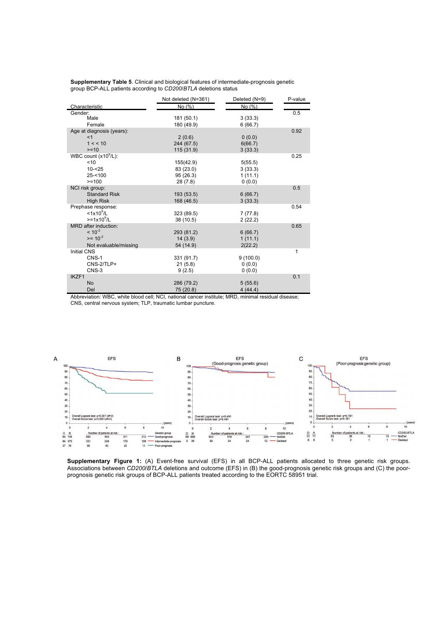| <b>Supplementary Table 5.</b> Clinical and biological features of intermediate-prognosis genetic |
|--------------------------------------------------------------------------------------------------|
| group BCP-ALL patients according to CD200/BTLA deletions status                                  |

|                           | Not deleted (N=361) | Deleted (N=9) | P-value |
|---------------------------|---------------------|---------------|---------|
| Characteristic            | No (%)              | No (%)        |         |
| Gender:                   |                     |               | 0.5     |
| Male                      | 181 (50.1)          | 3(33.3)       |         |
| Female                    | 180 (49.9)          | 6(66.7)       |         |
| Age at diagnosis (years): |                     |               | 0.92    |
| <1                        | 2(0.6)              | 0(0.0)        |         |
| 1 < 10                    | 244 (67.5)          | 6(66.7)       |         |
| $>=10$                    | 115 (31.9)          | 3(33.3)       |         |
| WBC count $(x10^9/L)$ :   |                     |               | 0.25    |
| < 10                      | 155(42.9)           | 5(55.5)       |         |
| $10 - 25$                 | 83 (23.0)           | 3(33.3)       |         |
| $25 - 100$                | 95(26.3)            | 1(11.1)       |         |
| $>=100$                   | 28 (7.8)            | 0(0.0)        |         |
| NCI risk group:           |                     |               | 0.5     |
| <b>Standard Risk</b>      | 193 (53.5)          | 6(66.7)       |         |
| <b>High Risk</b>          | 168 (46.5)          | 3(33.3)       |         |
| Prephase response:        |                     |               | 0.54    |
| $<$ 1x10 $^9$ /L          | 323 (89.5)          | 7(77.8)       |         |
| $>=1x10^9/L$              | 38 (10.5)           | 2(22.2)       |         |
| MRD after induction:      |                     |               | 0.65    |
| $< 10^{-2}$               | 293 (81.2)          | 6(66.7)       |         |
| $>= 10^{-2}$              | 14(3.9)             | 1(11.1)       |         |
| Not evaluable/missing     | 54 (14.9)           | 2(22.2)       |         |
| <b>Initial CNS</b>        |                     |               | 1       |
| CNS-1                     | 331 (91.7)          | 9(100.0)      |         |
| CNS-2/TLP+                | 21(5.8)             | 0(0.0)        |         |
| CNS-3                     | 9(2.5)              | 0(0.0)        |         |
| IKZF1                     |                     |               | 0.1     |
| <b>No</b>                 | 286 (79.2)          | 5(55.6)       |         |
| Del                       | 75 (20.8)           | 4(44.4)       |         |

Abbreviation: WBC, white blood cell; NCI, national cancer institute; MRD, minimal residual disease; CNS, central nervous system; TLP, traumatic lumbar puncture.



**Supplementary Figure 1:** (A) Event-free survival (EFS) in all BCP-ALL patients allocated to three genetic risk groups. Associations between *CD200*/*BTLA* deletions and outcome (EFS) in (B) the good-prognosis genetic risk groups and (C) the poorprognosis genetic risk groups of BCP-ALL patients treated according to the EORTC 58951 trial.